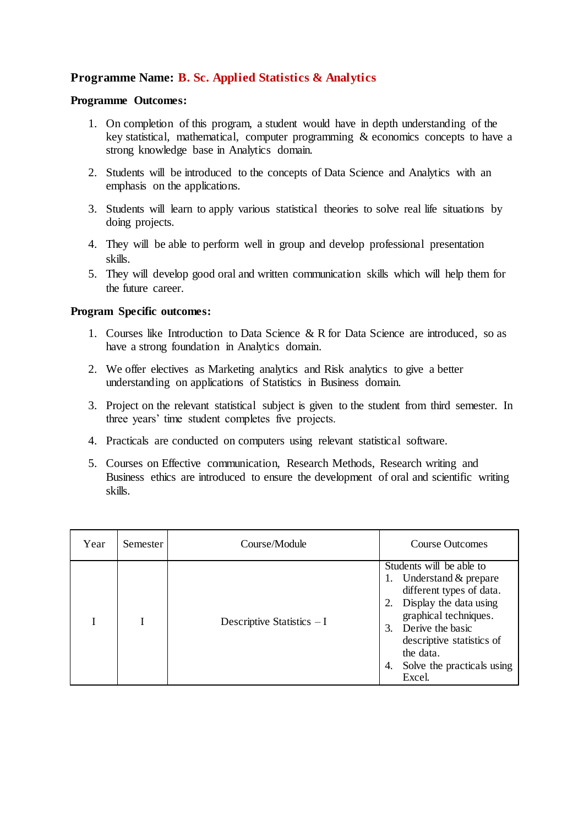## **Programme Name: B. Sc. Applied Statistics & Analytics**

## **Programme Outcomes:**

- 1. On completion of this program, a student would have in depth understanding of the key statistical, mathematical, computer programming & economics concepts to have a strong knowledge base in Analytics domain.
- 2. Students will be introduced to the concepts of Data Science and Analytics with an emphasis on the applications.
- 3. Students will learn to apply various statistical theories to solve real life situations by doing projects.
- 4. They will be able to perform well in group and develop professional presentation skills.
- 5. They will develop good oral and written communication skills which will help them for the future career.

## **Program Specific outcomes:**

- 1. Courses like Introduction to Data Science & R for Data Science are introduced, so as have a strong foundation in Analytics domain.
- 2. We offer electives as Marketing analytics and Risk analytics to give a better understanding on applications of Statistics in Business domain.
- 3. Project on the relevant statistical subject is given to the student from third semester. In three years' time student completes five projects.
- 4. Practicals are conducted on computers using relevant statistical software.
- 5. Courses on Effective communication, Research Methods, Research writing and Business ethics are introduced to ensure the development of oral and scientific writing skills.

| Year | Semester | Course/Module               | Course Outcomes                                                                                                                                                                                                                                                    |
|------|----------|-----------------------------|--------------------------------------------------------------------------------------------------------------------------------------------------------------------------------------------------------------------------------------------------------------------|
|      |          | Descriptive Statistics $-I$ | Students will be able to<br>Understand & prepare<br>1.<br>different types of data.<br>Display the data using<br>graphical techniques.<br>Derive the basic<br>$\mathcal{E}$<br>descriptive statistics of<br>the data.<br>Solve the practicals using<br>4.<br>Excel. |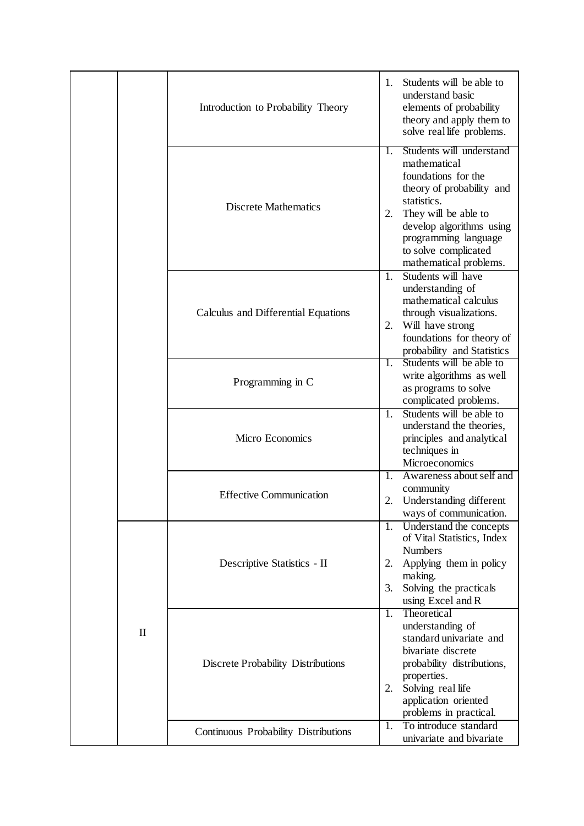|              | Introduction to Probability Theory        | 1.       | Students will be able to<br>understand basic<br>elements of probability<br>theory and apply them to<br>solve real life problems.                                                                                                          |
|--------------|-------------------------------------------|----------|-------------------------------------------------------------------------------------------------------------------------------------------------------------------------------------------------------------------------------------------|
|              | <b>Discrete Mathematics</b>               | 1.<br>2. | Students will understand<br>mathematical<br>foundations for the<br>theory of probability and<br>statistics.<br>They will be able to<br>develop algorithms using<br>programming language<br>to solve complicated<br>mathematical problems. |
|              | Calculus and Differential Equations       | 1.<br>2. | Students will have<br>understanding of<br>mathematical calculus<br>through visualizations.<br>Will have strong<br>foundations for theory of<br>probability and Statistics                                                                 |
|              | Programming in C                          | 1.       | Students will be able to<br>write algorithms as well<br>as programs to solve<br>complicated problems.                                                                                                                                     |
|              | Micro Economics                           | 1.       | Students will be able to<br>understand the theories,<br>principles and analytical<br>techniques in<br>Microeconomics                                                                                                                      |
|              | <b>Effective Communication</b>            | 1.<br>2. | Awareness about self and<br>community<br>Understanding different<br>ways of communication.                                                                                                                                                |
|              | Descriptive Statistics - II               | 2.<br>3. | 1. Understand the concepts<br>of Vital Statistics, Index<br><b>Numbers</b><br>Applying them in policy<br>making.<br>Solving the practicals<br>using Excel and R                                                                           |
| $\mathbf{I}$ | <b>Discrete Probability Distributions</b> | 1.<br>2. | Theoretical<br>understanding of<br>standard univariate and<br>bivariate discrete<br>probability distributions,<br>properties.<br>Solving real life<br>application oriented<br>problems in practical.                                      |
|              | Continuous Probability Distributions      | 1.       | To introduce standard<br>univariate and bivariate                                                                                                                                                                                         |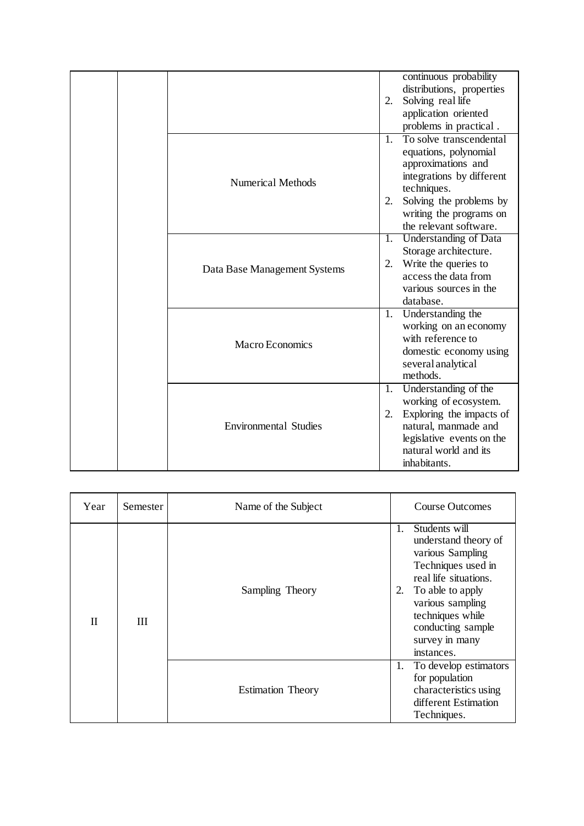|  |                              | 2.                   | continuous probability<br>distributions, properties<br>Solving real life<br>application oriented<br>problems in practical.                                                                         |
|--|------------------------------|----------------------|----------------------------------------------------------------------------------------------------------------------------------------------------------------------------------------------------|
|  | <b>Numerical Methods</b>     | $\mathbf{1}$ .<br>2. | To solve transcendental<br>equations, polynomial<br>approximations and<br>integrations by different<br>techniques.<br>Solving the problems by<br>writing the programs on<br>the relevant software. |
|  | Data Base Management Systems |                      | 1. Understanding of Data<br>Storage architecture.<br>2. Write the queries to<br>access the data from<br>various sources in the<br>database.                                                        |
|  | Macro Economics              |                      | 1. Understanding the<br>working on an economy<br>with reference to<br>domestic economy using<br>several analytical<br>methods.                                                                     |
|  | <b>Environmental Studies</b> | 2.                   | 1. Understanding of the<br>working of ecosystem.<br>Exploring the impacts of<br>natural, manmade and<br>legislative events on the<br>natural world and its<br>inhabitants.                         |

| Year         | Semester | Name of the Subject      |          | <b>Course Outcomes</b>                                                                                                                                                                                                    |
|--------------|----------|--------------------------|----------|---------------------------------------------------------------------------------------------------------------------------------------------------------------------------------------------------------------------------|
| $\mathbf{H}$ | Ш        | Sampling Theory          | 1.<br>2. | Students will<br>understand theory of<br>various Sampling<br>Techniques used in<br>real life situations.<br>To able to apply<br>various sampling<br>techniques while<br>conducting sample<br>survey in many<br>instances. |
|              |          | <b>Estimation Theory</b> | 1.       | To develop estimators<br>for population<br>characteristics using<br>different Estimation<br>Techniques.                                                                                                                   |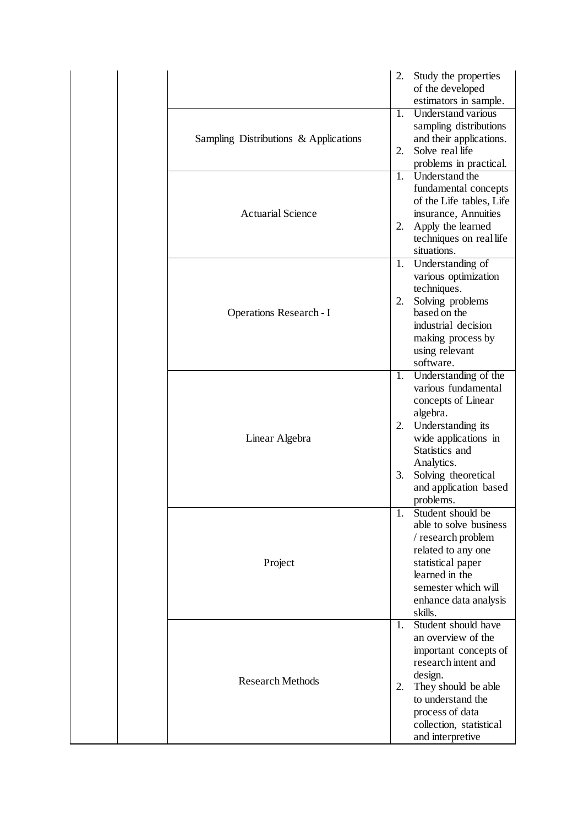|                                       | 2.                     | Study the properties<br>of the developed<br>estimators in sample.                                                                                                                                                       |
|---------------------------------------|------------------------|-------------------------------------------------------------------------------------------------------------------------------------------------------------------------------------------------------------------------|
| Sampling Distributions & Applications | 1.<br>2.               | <b>Understand various</b><br>sampling distributions<br>and their applications.<br>Solve real life<br>problems in practical.                                                                                             |
| <b>Actuarial Science</b>              | $\overline{1}$ .<br>2. | Understand the<br>fundamental concepts<br>of the Life tables, Life<br>insurance, Annuities<br>Apply the learned<br>techniques on real life<br>situations.                                                               |
| <b>Operations Research - I</b>        | 1.<br>2.               | Understanding of<br>various optimization<br>techniques.<br>Solving problems<br>based on the<br>industrial decision<br>making process by<br>using relevant<br>software.                                                  |
| Linear Algebra                        | 1.<br>2.<br>3.         | Understanding of the<br>various fundamental<br>concepts of Linear<br>algebra.<br>Understanding its<br>wide applications in<br>Statistics and<br>Analytics.<br>Solving theoretical<br>and application based<br>problems. |
| Project                               | 1.                     | Student should be<br>able to solve business<br>/ research problem<br>related to any one<br>statistical paper<br>learned in the<br>semester which will<br>enhance data analysis<br>skills.                               |
| <b>Research Methods</b>               | 1.<br>2.               | Student should have<br>an overview of the<br>important concepts of<br>research intent and<br>design.<br>They should be able<br>to understand the<br>process of data<br>collection, statistical<br>and interpretive      |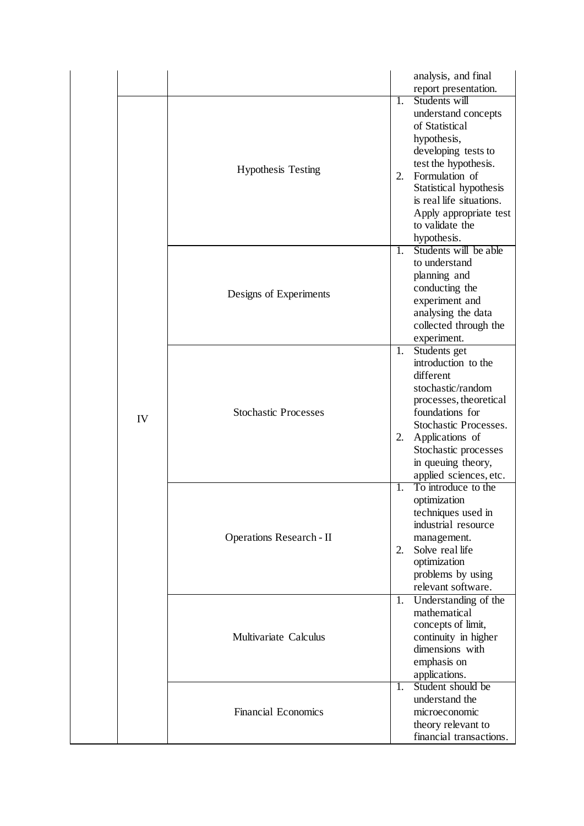|    |                                 |          | analysis, and final<br>report presentation.                                                                                                                                                                                                              |
|----|---------------------------------|----------|----------------------------------------------------------------------------------------------------------------------------------------------------------------------------------------------------------------------------------------------------------|
| IV | <b>Hypothesis Testing</b>       | 1.<br>2. | Students will<br>understand concepts<br>of Statistical<br>hypothesis,<br>developing tests to<br>test the hypothesis.<br>Formulation of<br>Statistical hypothesis<br>is real life situations.<br>Apply appropriate test<br>to validate the<br>hypothesis. |
|    | Designs of Experiments          | 1.       | Students will be able<br>to understand<br>planning and<br>conducting the<br>experiment and<br>analysing the data<br>collected through the<br>experiment.                                                                                                 |
|    | <b>Stochastic Processes</b>     | 1.<br>2. | Students get<br>introduction to the<br>different<br>stochastic/random<br>processes, theoretical<br>foundations for<br>Stochastic Processes.<br>Applications of<br>Stochastic processes<br>in queuing theory,<br>applied sciences, etc.                   |
|    | <b>Operations Research - II</b> | 1.<br>2. | To introduce to the<br>optimization<br>techniques used in<br>industrial resource<br>management.<br>Solve real life<br>optimization<br>problems by using<br>relevant software.                                                                            |
|    | Multivariate Calculus           | 1.       | Understanding of the<br>mathematical<br>concepts of limit,<br>continuity in higher<br>dimensions with<br>emphasis on<br>applications.                                                                                                                    |
|    | <b>Financial Economics</b>      | 1.       | Student should be<br>understand the<br>microeconomic<br>theory relevant to<br>financial transactions.                                                                                                                                                    |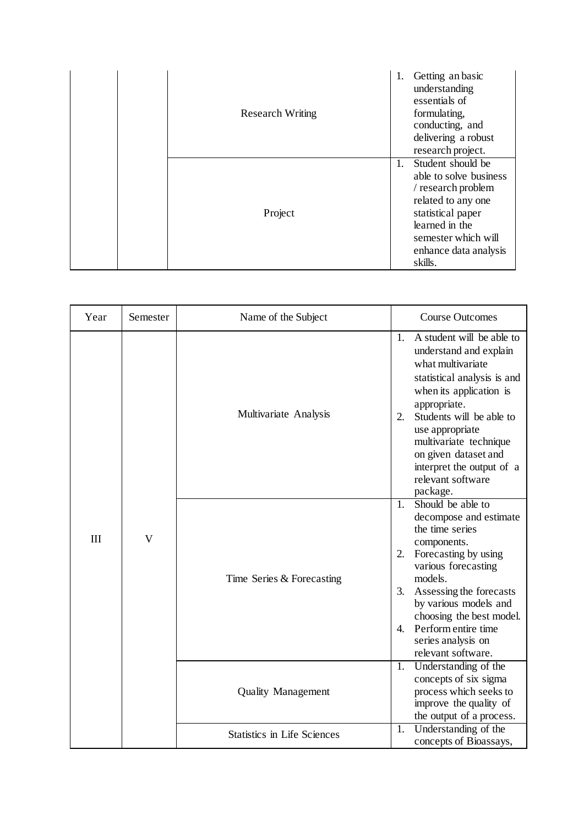| <b>Research Writing</b> | 1. | Getting an basic<br>understanding<br>essentials of<br>formulating,<br>conducting, and<br>delivering a robust<br>research project.                                                         |
|-------------------------|----|-------------------------------------------------------------------------------------------------------------------------------------------------------------------------------------------|
| Project                 | 1. | Student should be<br>able to solve business<br>/ research problem<br>related to any one<br>statistical paper<br>learned in the<br>semester which will<br>enhance data analysis<br>skills. |

| Year | Semester                | Name of the Subject                | <b>Course Outcomes</b>                                                                                                                                                                                                                                                                                                                    |
|------|-------------------------|------------------------------------|-------------------------------------------------------------------------------------------------------------------------------------------------------------------------------------------------------------------------------------------------------------------------------------------------------------------------------------------|
| III  | $\overline{\mathsf{V}}$ | Multivariate Analysis              | A student will be able to<br>$\mathbf{1}$ .<br>understand and explain<br>what multivariate<br>statistical analysis is and<br>when its application is<br>appropriate.<br>Students will be able to<br>2.<br>use appropriate<br>multivariate technique<br>on given dataset and<br>interpret the output of a<br>relevant software<br>package. |
|      |                         | Time Series & Forecasting          | Should be able to<br>$\mathbf{1}$ .<br>decompose and estimate<br>the time series<br>components.<br>2.<br>Forecasting by using<br>various forecasting<br>models.<br>Assessing the forecasts<br>3.<br>by various models and<br>choosing the best model.<br>Perform entire time<br>4.<br>series analysis on<br>relevant software.            |
|      |                         | <b>Quality Management</b>          | Understanding of the<br>1.<br>concepts of six sigma<br>process which seeks to<br>improve the quality of<br>the output of a process.                                                                                                                                                                                                       |
|      |                         | <b>Statistics in Life Sciences</b> | Understanding of the<br>1.<br>concepts of Bioassays,                                                                                                                                                                                                                                                                                      |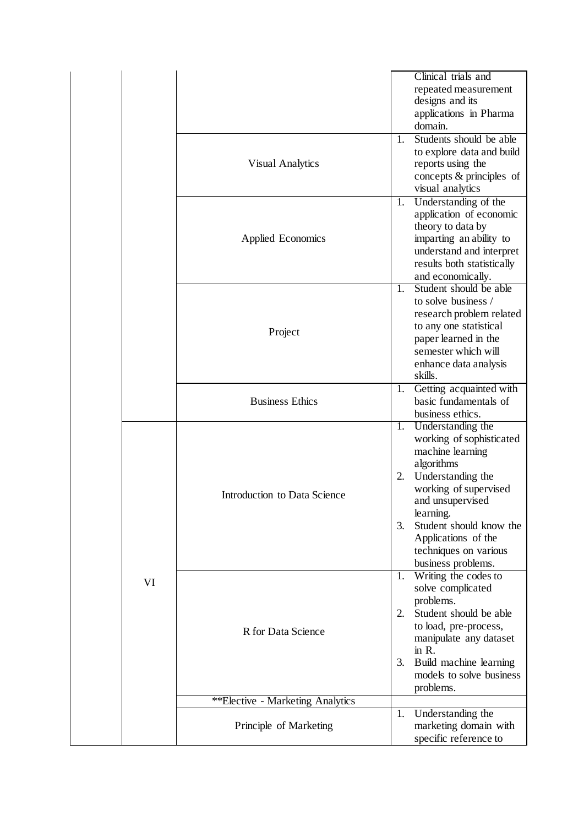|    |                                  | Clinical trials and<br>repeated measurement<br>designs and its<br>applications in Pharma<br>domain.<br>Students should be able<br>1.                                                                                                                                              |
|----|----------------------------------|-----------------------------------------------------------------------------------------------------------------------------------------------------------------------------------------------------------------------------------------------------------------------------------|
|    | <b>Visual Analytics</b>          | to explore data and build<br>reports using the<br>concepts & principles of<br>visual analytics                                                                                                                                                                                    |
|    | Applied Economics                | Understanding of the<br>1.<br>application of economic<br>theory to data by<br>imparting an ability to<br>understand and interpret<br>results both statistically<br>and economically.                                                                                              |
|    | Project                          | Student should be able<br>$1_{-}$<br>to solve business /<br>research problem related<br>to any one statistical<br>paper learned in the<br>semester which will<br>enhance data analysis<br>skills.                                                                                 |
|    | <b>Business Ethics</b>           | Getting acquainted with<br>1.<br>basic fundamentals of<br>business ethics.                                                                                                                                                                                                        |
|    | Introduction to Data Science     | Understanding the<br>1.<br>working of sophisticated<br>machine learning<br>algorithms<br>Understanding the<br>2.<br>working of supervised<br>and unsupervised<br>learning.<br>3.<br>Student should know the<br>Applications of the<br>techniques on various<br>business problems. |
| VI | R for Data Science               | Writing the codes to<br>1.<br>solve complicated<br>problems.<br>Student should be able<br>2.<br>to load, pre-process,<br>manipulate any dataset<br>in $R$ .<br>Build machine learning<br>3.<br>models to solve business<br>problems.                                              |
|    | **Elective - Marketing Analytics |                                                                                                                                                                                                                                                                                   |
|    | Principle of Marketing           | Understanding the<br>1.<br>marketing domain with<br>specific reference to                                                                                                                                                                                                         |